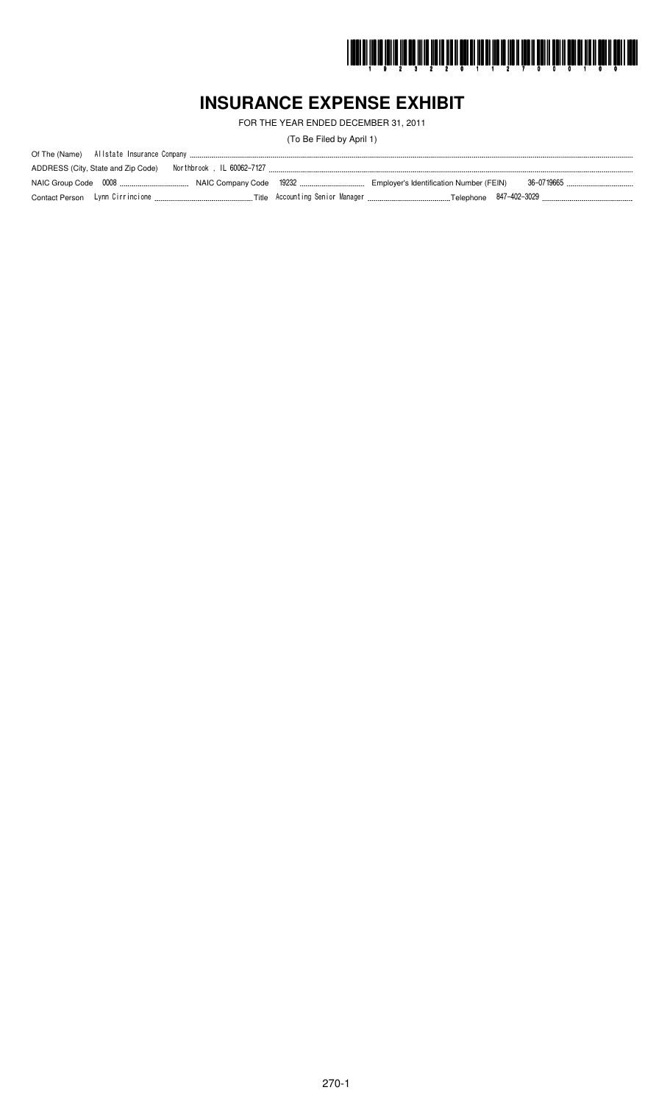

# **INSURANCE EXPENSE EXHIBIT**

FOR THE YEAR ENDED DECEMBER 31, 2011

(To Be Filed by April 1)

| ADDRESS (City, State and Zip Code) |  |  |
|------------------------------------|--|--|
|                                    |  |  |
|                                    |  |  |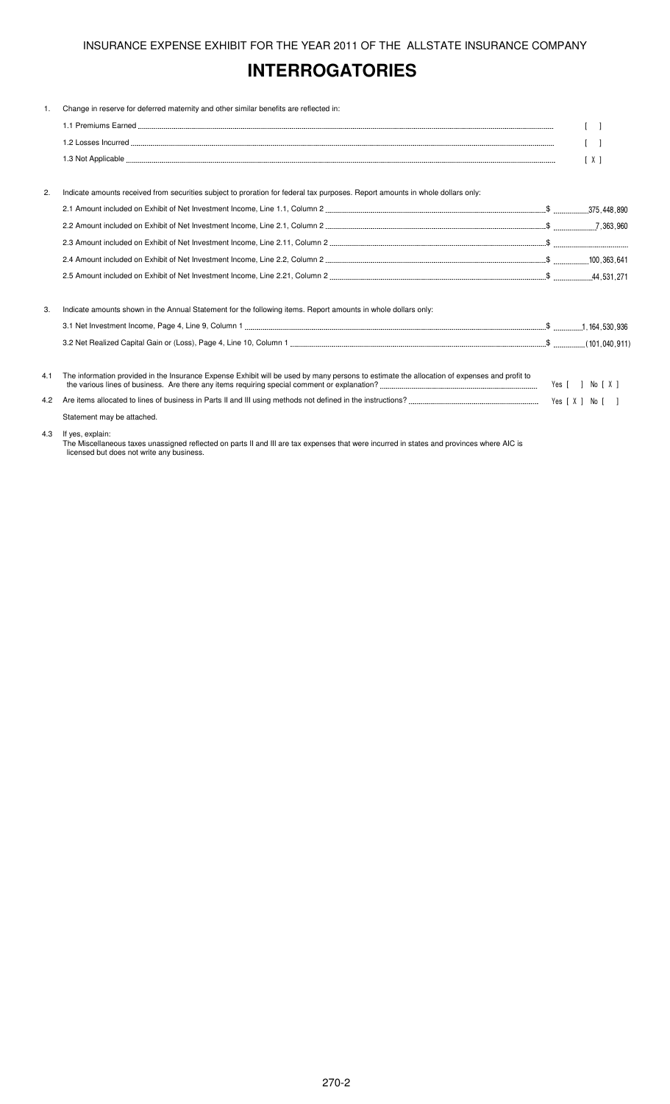# **INTERROGATORIES**

| 1.  | Change in reserve for deferred maternity and other similar benefits are reflected in:                                                       |                   |
|-----|---------------------------------------------------------------------------------------------------------------------------------------------|-------------------|
|     |                                                                                                                                             | $\lceil$ $\rceil$ |
|     |                                                                                                                                             | $\lceil$          |
|     |                                                                                                                                             | $\lceil X \rceil$ |
|     |                                                                                                                                             |                   |
| 2.  | Indicate amounts received from securities subject to proration for federal tax purposes. Report amounts in whole dollars only:              |                   |
|     |                                                                                                                                             |                   |
|     |                                                                                                                                             |                   |
|     |                                                                                                                                             |                   |
|     |                                                                                                                                             |                   |
|     |                                                                                                                                             |                   |
| 3.  | Indicate amounts shown in the Annual Statement for the following items. Report amounts in whole dollars only:                               |                   |
|     |                                                                                                                                             |                   |
|     |                                                                                                                                             |                   |
| 4.1 | The information provided in the Insurance Expense Exhibit will be used by many persons to estimate the allocation of expenses and profit to |                   |
| 4.2 |                                                                                                                                             |                   |
|     | Statement may be attached.                                                                                                                  |                   |
|     |                                                                                                                                             |                   |

### 4.3 If yes, explain:

The Miscellaneous taxes unassigned reflected on parts II and III are tax expenses that were incurred in states and provinces where AIC is licensed but does not write any business.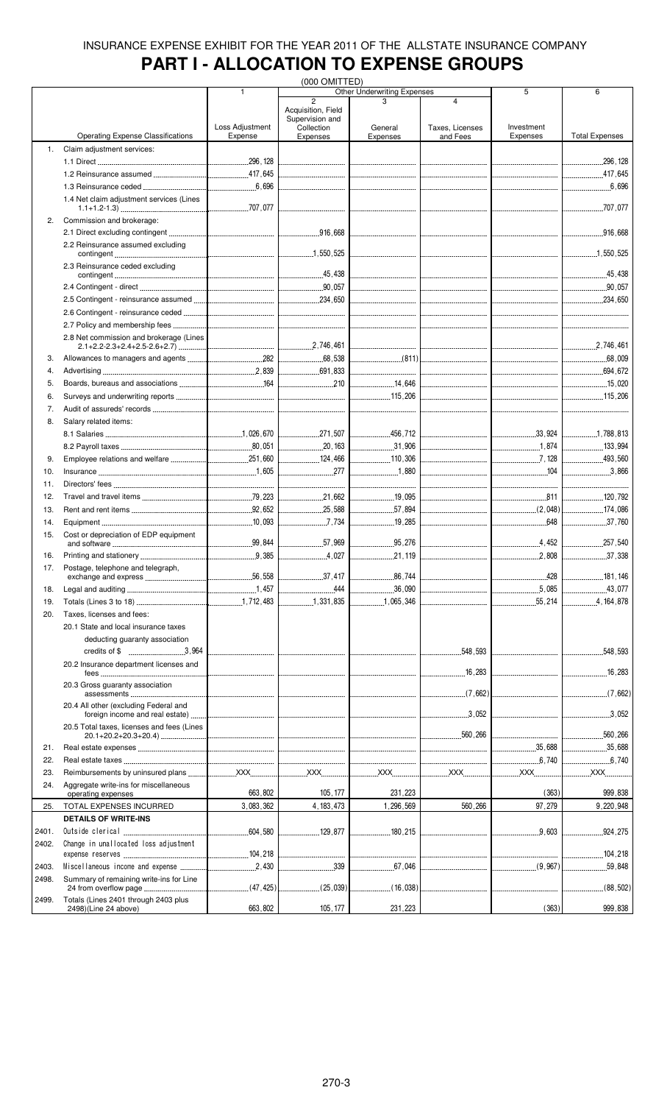# **PART I - ALLOCATION TO EXPENSE GROUPS**

|       |                                            |                            | (000 OMITTED)                                                                                                                                                                                                                                                                                                                                                 |                             |                                         |                        |                       |
|-------|--------------------------------------------|----------------------------|---------------------------------------------------------------------------------------------------------------------------------------------------------------------------------------------------------------------------------------------------------------------------------------------------------------------------------------------------------------|-----------------------------|-----------------------------------------|------------------------|-----------------------|
|       |                                            | $\mathbf{1}$               |                                                                                                                                                                                                                                                                                                                                                               | Other Underwriting Expenses |                                         | 5                      | 6                     |
|       |                                            |                            | $\overline{2}$                                                                                                                                                                                                                                                                                                                                                |                             | $\overline{\mathbf{A}}$                 |                        |                       |
|       |                                            |                            | Acquisition, Field                                                                                                                                                                                                                                                                                                                                            |                             |                                         |                        |                       |
|       |                                            |                            | Supervision and                                                                                                                                                                                                                                                                                                                                               |                             |                                         |                        |                       |
|       | <b>Operating Expense Classifications</b>   | Loss Adjustment<br>Expense | Collection                                                                                                                                                                                                                                                                                                                                                    | General                     | Taxes, Licenses                         | Investment<br>Expenses | <b>Total Expenses</b> |
|       |                                            |                            | <b>Expenses</b>                                                                                                                                                                                                                                                                                                                                               | Expenses                    | and Fees                                |                        |                       |
| 1.    | Claim adjustment services:                 |                            |                                                                                                                                                                                                                                                                                                                                                               |                             |                                         |                        |                       |
|       |                                            |                            | $\mathcal{L} = \{1, 2, \ldots, 2, \ldots, 2, \ldots, 2, \ldots, 2, \ldots, 2, \ldots, 2, \ldots, 2, \ldots, 2, \ldots, 2, \ldots, 2, \ldots, 2, \ldots, 2, \ldots, 2, \ldots, 2, \ldots, 2, \ldots, 2, \ldots, 2, \ldots, 2, \ldots, 2, \ldots, 2, \ldots, 2, \ldots, 2, \ldots, 2, \ldots, 2, \ldots, 2, \ldots, 2, \ldots, 2, \ldots, 2, \ldots, 2, \ldots$ |                             |                                         |                        | 296, 128              |
|       |                                            |                            |                                                                                                                                                                                                                                                                                                                                                               |                             | <br> ---------------------------------- |                        |                       |
|       |                                            |                            |                                                                                                                                                                                                                                                                                                                                                               |                             |                                         |                        |                       |
|       |                                            |                            |                                                                                                                                                                                                                                                                                                                                                               |                             |                                         |                        |                       |
|       | 1.4 Net claim adjustment services (Lines   |                            |                                                                                                                                                                                                                                                                                                                                                               |                             |                                         |                        |                       |
|       |                                            |                            |                                                                                                                                                                                                                                                                                                                                                               |                             |                                         |                        |                       |
| 2.    | Commission and brokerage:                  |                            |                                                                                                                                                                                                                                                                                                                                                               |                             |                                         |                        |                       |
|       |                                            |                            |                                                                                                                                                                                                                                                                                                                                                               |                             |                                         |                        |                       |
|       |                                            |                            |                                                                                                                                                                                                                                                                                                                                                               |                             |                                         |                        |                       |
|       | 2.2 Reinsurance assumed excluding          |                            |                                                                                                                                                                                                                                                                                                                                                               |                             |                                         |                        |                       |
|       |                                            |                            |                                                                                                                                                                                                                                                                                                                                                               |                             |                                         |                        |                       |
|       | 2.3 Reinsurance ceded excluding            |                            |                                                                                                                                                                                                                                                                                                                                                               |                             |                                         |                        |                       |
|       |                                            |                            |                                                                                                                                                                                                                                                                                                                                                               |                             |                                         |                        |                       |
|       |                                            |                            |                                                                                                                                                                                                                                                                                                                                                               |                             |                                         |                        | 90,057                |
|       |                                            |                            |                                                                                                                                                                                                                                                                                                                                                               |                             |                                         |                        | 234,650               |
|       |                                            |                            |                                                                                                                                                                                                                                                                                                                                                               |                             |                                         |                        |                       |
|       |                                            |                            |                                                                                                                                                                                                                                                                                                                                                               |                             |                                         |                        |                       |
|       |                                            |                            |                                                                                                                                                                                                                                                                                                                                                               |                             |                                         |                        |                       |
|       | 2.8 Net commission and brokerage (Lines    |                            |                                                                                                                                                                                                                                                                                                                                                               |                             |                                         |                        |                       |
|       |                                            |                            |                                                                                                                                                                                                                                                                                                                                                               |                             | <br> ---------------------------------- |                        | 2,746,461             |
|       |                                            |                            |                                                                                                                                                                                                                                                                                                                                                               |                             |                                         |                        |                       |
| 3.    |                                            |                            |                                                                                                                                                                                                                                                                                                                                                               |                             |                                         |                        | 68,009                |
| 4.    |                                            |                            |                                                                                                                                                                                                                                                                                                                                                               |                             |                                         |                        |                       |
| 5.    |                                            |                            |                                                                                                                                                                                                                                                                                                                                                               |                             |                                         |                        |                       |
|       |                                            |                            |                                                                                                                                                                                                                                                                                                                                                               |                             |                                         |                        |                       |
| 6.    |                                            |                            |                                                                                                                                                                                                                                                                                                                                                               |                             |                                         |                        |                       |
| 7.    |                                            |                            |                                                                                                                                                                                                                                                                                                                                                               |                             |                                         |                        |                       |
| 8.    | Salary related items:                      |                            |                                                                                                                                                                                                                                                                                                                                                               |                             |                                         |                        |                       |
|       |                                            |                            |                                                                                                                                                                                                                                                                                                                                                               |                             |                                         |                        | 1,788,813             |
|       |                                            |                            |                                                                                                                                                                                                                                                                                                                                                               |                             |                                         |                        |                       |
|       |                                            |                            |                                                                                                                                                                                                                                                                                                                                                               |                             |                                         |                        | 133,994               |
| 9.    |                                            |                            | 124,466                                                                                                                                                                                                                                                                                                                                                       |                             |                                         |                        | 493,560               |
| 10.   |                                            |                            | 277                                                                                                                                                                                                                                                                                                                                                           |                             |                                         | $\frac{104}{200}$      | 3.866                 |
|       |                                            |                            |                                                                                                                                                                                                                                                                                                                                                               |                             |                                         |                        |                       |
| 11.   |                                            |                            |                                                                                                                                                                                                                                                                                                                                                               |                             |                                         |                        |                       |
| 12.   |                                            |                            | 21,662                                                                                                                                                                                                                                                                                                                                                        | 19,095                      |                                         | 811                    | 120,792               |
| 13.   |                                            |                            | 25.588                                                                                                                                                                                                                                                                                                                                                        | 57,894                      |                                         | $\ldots$ (2,048)       | 174,086               |
|       |                                            |                            |                                                                                                                                                                                                                                                                                                                                                               |                             |                                         |                        |                       |
| 14.   |                                            |                            |                                                                                                                                                                                                                                                                                                                                                               | 19,285                      |                                         |                        | 37,760                |
| 15.   | Cost or depreciation of EDP equipment      |                            |                                                                                                                                                                                                                                                                                                                                                               |                             |                                         |                        |                       |
|       |                                            |                            | 57,969                                                                                                                                                                                                                                                                                                                                                        | 95,276                      |                                         | 4,452                  | 257,540               |
| 16.   |                                            |                            | 4,027                                                                                                                                                                                                                                                                                                                                                         | 21,119                      |                                         | 2,808                  | 37,338                |
|       | Postage, telephone and telegraph,          |                            |                                                                                                                                                                                                                                                                                                                                                               |                             |                                         |                        |                       |
| 17.   |                                            |                            | 37.417                                                                                                                                                                                                                                                                                                                                                        | .86,744<br>.                |                                         | 428                    | 181, 146              |
|       |                                            |                            |                                                                                                                                                                                                                                                                                                                                                               |                             |                                         |                        |                       |
| 18.   |                                            |                            | 444                                                                                                                                                                                                                                                                                                                                                           | .36,090                     |                                         | 5,085                  | 43,077                |
| 19.   |                                            |                            | 1,331,835                                                                                                                                                                                                                                                                                                                                                     | 1,065,346                   |                                         |                        | 164, 878              |
| 20.   | Taxes, licenses and fees:                  |                            |                                                                                                                                                                                                                                                                                                                                                               |                             |                                         |                        |                       |
|       | 20.1 State and local insurance taxes       |                            |                                                                                                                                                                                                                                                                                                                                                               |                             |                                         |                        |                       |
|       |                                            |                            |                                                                                                                                                                                                                                                                                                                                                               |                             |                                         |                        |                       |
|       | deducting guaranty association             |                            |                                                                                                                                                                                                                                                                                                                                                               |                             |                                         |                        |                       |
|       |                                            |                            |                                                                                                                                                                                                                                                                                                                                                               |                             | .548,593<br>.                           |                        | .548,593              |
|       | 20.2 Insurance department licenses and     |                            |                                                                                                                                                                                                                                                                                                                                                               |                             |                                         |                        |                       |
|       |                                            |                            |                                                                                                                                                                                                                                                                                                                                                               |                             | 16,283                                  |                        | 16,283                |
|       | 20.3 Gross quaranty association            |                            |                                                                                                                                                                                                                                                                                                                                                               |                             |                                         |                        |                       |
|       |                                            |                            |                                                                                                                                                                                                                                                                                                                                                               |                             | (7.662)                                 |                        |                       |
|       |                                            |                            |                                                                                                                                                                                                                                                                                                                                                               |                             |                                         |                        |                       |
|       | 20.4 All other (excluding Federal and      |                            |                                                                                                                                                                                                                                                                                                                                                               |                             | 1.1.1.1.1.1.1.1.0.052                   |                        | 3,052                 |
|       |                                            |                            |                                                                                                                                                                                                                                                                                                                                                               |                             |                                         |                        |                       |
|       | 20.5 Total taxes, licenses and fees (Lines |                            |                                                                                                                                                                                                                                                                                                                                                               |                             |                                         |                        |                       |
|       |                                            |                            |                                                                                                                                                                                                                                                                                                                                                               |                             |                                         |                        | .560, 266             |
| 21.   |                                            |                            |                                                                                                                                                                                                                                                                                                                                                               |                             | <br> --------------------------------   | 35,688                 | 35,688                |
| 22.   |                                            |                            |                                                                                                                                                                                                                                                                                                                                                               |                             |                                         | 6,740                  |                       |
|       |                                            |                            |                                                                                                                                                                                                                                                                                                                                                               |                             |                                         |                        |                       |
| 23.   |                                            |                            |                                                                                                                                                                                                                                                                                                                                                               |                             |                                         |                        | $\overline{X}$ XXX    |
| 24.   | Aggregate write-ins for miscellaneous      |                            |                                                                                                                                                                                                                                                                                                                                                               |                             |                                         |                        |                       |
|       | operating expenses                         | 663,802                    | 105, 177                                                                                                                                                                                                                                                                                                                                                      | 231,223                     |                                         | (363)                  | 999,838               |
| 25.   | TOTAL EXPENSES INCURRED                    | 3,083,362                  | 4, 183, 473                                                                                                                                                                                                                                                                                                                                                   | 1,296,569                   | 560,266                                 | 97,279                 | 9,220,948             |
|       | <b>DETAILS OF WRITE-INS</b>                |                            |                                                                                                                                                                                                                                                                                                                                                               |                             |                                         |                        |                       |
|       |                                            |                            |                                                                                                                                                                                                                                                                                                                                                               |                             |                                         |                        |                       |
| 2401. |                                            | .604,580                   | 129.877                                                                                                                                                                                                                                                                                                                                                       | 180,215                     |                                         | 9.603<br>.             | .924,275              |
| 2402. | Change in unallocated loss adjustment      |                            |                                                                                                                                                                                                                                                                                                                                                               |                             |                                         |                        |                       |
|       |                                            |                            |                                                                                                                                                                                                                                                                                                                                                               |                             |                                         |                        | .104.218              |
| 2403. |                                            |                            | 339                                                                                                                                                                                                                                                                                                                                                           | 67,046                      | <br> ---------------------------------  |                        | .59,848               |
|       |                                            |                            |                                                                                                                                                                                                                                                                                                                                                               |                             |                                         |                        |                       |
| 2498. | Summary of remaining write-ins for Line    |                            |                                                                                                                                                                                                                                                                                                                                                               |                             |                                         |                        |                       |
|       |                                            |                            | (25,039)                                                                                                                                                                                                                                                                                                                                                      | $\ldots$ (16,038)           |                                         |                        | (88, 502)             |
| 2499. | Totals (Lines 2401 through 2403 plus       |                            |                                                                                                                                                                                                                                                                                                                                                               |                             |                                         |                        |                       |
|       | 2498)(Line 24 above)                       | 663,802                    | 105, 177                                                                                                                                                                                                                                                                                                                                                      | 231,223                     |                                         | (363)                  | 999,838               |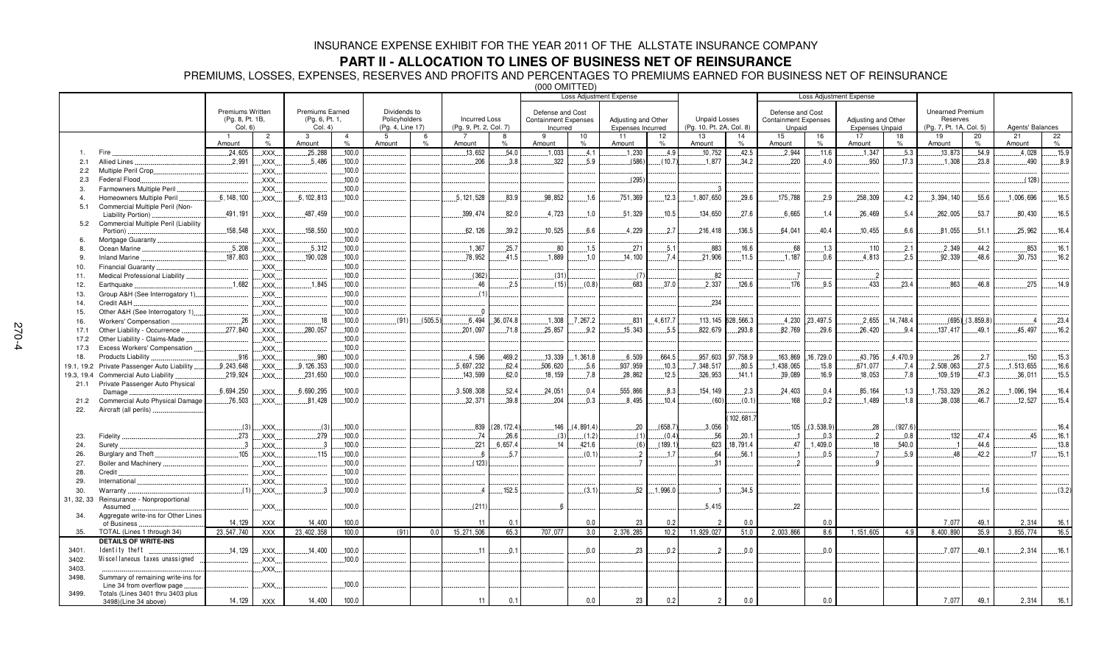## **PART II - ALLOCATION TO LINES OF BUSINESS NET OF REINSURANCE**

PREMIUMS, LOSSES, EXPENSES, RESERVES AND PROFITS AND PERCENTAGES TO PREMIUMS EARNED FOR BUSINESS NET OF REINSURANCE

(000 OMITTED)

|                  |                                      |                            |                |                           |                |                               |               |                        | $000$ $01011$ $112$<br>Loss Adjustment Expense |                             | Loss Adjustment Expense |                     |          |                          |                     |                             |                      |                        |          |                         |                |                  |       |
|------------------|--------------------------------------|----------------------------|----------------|---------------------------|----------------|-------------------------------|---------------|------------------------|------------------------------------------------|-----------------------------|-------------------------|---------------------|----------|--------------------------|---------------------|-----------------------------|----------------------|------------------------|----------|-------------------------|----------------|------------------|-------|
|                  |                                      |                            |                |                           |                |                               |               |                        |                                                |                             |                         |                     |          |                          |                     |                             |                      |                        |          |                         |                |                  |       |
|                  |                                      |                            |                |                           |                |                               |               |                        |                                                |                             |                         |                     |          |                          |                     |                             |                      |                        |          |                         |                |                  |       |
|                  |                                      | Premiums Written           |                | Premiums Earned           |                | Dividends to<br>Policyholders |               |                        |                                                | Defense and Cost            |                         |                     |          | <b>Unpaid Losses</b>     |                     | Defense and Cost            |                      |                        |          | <b>Unearned Premium</b> |                |                  |       |
|                  |                                      | (Pg. 8, Pt. 1B,<br>Col. 6) |                | (Pg. 6, Pt. 1,<br>Col. 4) |                | (Pg. 4, Line 17)              |               | <b>Incurred Loss</b>   |                                                | <b>Containment Expenses</b> |                         | Adjusting and Other |          |                          |                     | <b>Containment Expenses</b> |                      | Adjusting and Other    |          | Reserves                |                | Agents' Balances |       |
|                  |                                      |                            |                |                           |                |                               |               | (Pg. 9, Pt. 2, Col. 7) |                                                | Incurred                    |                         | Expenses Incurred   |          | (Pg. 10, Pt. 2A, Col. 8) |                     | Unpaid                      |                      | <b>Expenses Unpaid</b> |          | (Pg. 7, Pt. 1A, Col. 5) |                |                  |       |
|                  |                                      |                            | $\overline{2}$ | 3                         | $\overline{4}$ | - 5                           | 6             |                        | 8                                              | 9                           | 10                      | 11                  | 12       | 13                       | 14                  | 15                          | 16                   | 17                     | 18       | 19                      | 20             | 21               | 22    |
|                  |                                      | Amount                     | $\%$           | Amount                    | $\%$           | Amount                        | $\frac{1}{2}$ | Amount                 | $\frac{1}{2}$                                  | Amount                      | $\frac{1}{2}$           | Amount              | $\%$     | Amount                   | $\%$                | Amount                      | $\%$                 | Amount                 | $\%$     | Amount                  | $\frac{1}{2}$  | Amount           | $\%$  |
|                  | Fire                                 | .24,605                    | XXX.           | .25,288                   | .100.0         |                               |               | 13,652                 | .54.0                                          | .1,033                      | .4.1                    | .1,230              | 4.9      | .10,752                  | 42.5                | .2.944                      | .11.6                | .1.347                 | .5.3     | .13,873                 | 54.9           | .4,028           | .15.9 |
| 2.1              | Allied Lines                         | .2.991                     | XXX.           | 5.486                     | .100.0         |                               |               | .206                   | 3.8                                            | 322                         | 5.9                     | (586)               | (10.7)   | 1.877                    | 34.2                | .220                        | 4.0                  | 950                    | 17.3     | .1,308                  | 23.8           | 490              | 8.9   |
| 2.2              | Multiple Peril Crop                  |                            | XXX.           |                           | .100.0         |                               |               |                        |                                                |                             |                         |                     |          |                          |                     |                             |                      |                        |          |                         |                |                  |       |
| 2.3              | Federal Flood                        |                            | XXX            |                           | .100.0         |                               |               |                        |                                                |                             |                         | (295)               |          |                          |                     |                             |                      |                        |          |                         |                | (128)            |       |
| 3.               | Farmowners Multiple Peril            |                            | XXX.           |                           | .100.0         |                               |               |                        |                                                |                             |                         |                     |          | -9                       |                     |                             |                      |                        |          |                         |                |                  |       |
| $\overline{4}$ . | Homeowners Multiple Peril            |                            |                | .6, 102, 813              | .100.0         |                               |               | .5, 121, 528           | .83.9                                          | 98,852                      | .1.6                    |                     | .12.3    | 1,807,650                | .29.6               | .175,788                    | .2.9                 | 258,309                | .4.2     | .3,394,140              | .55.6          |                  | 16.5  |
|                  |                                      | .6, 148, 100               | XXX            |                           |                |                               |               |                        |                                                |                             |                         | .751,369            |          |                          |                     |                             |                      |                        |          |                         |                | .1,006,696       |       |
| 5.1              | Commercial Multiple Peril (Non-      | 491, 191                   |                | 487,459                   | 100.0          |                               |               | 399,474                | 82.0                                           | 4,723                       | .1.0                    | 51,329              | 10.5     | .134,650                 | .27.6               | 6,665                       | .1.4                 | 26,469                 | .5.4     | 262,005                 | 53.7           | 80,430           | 16.5  |
|                  | Liability Portion)                   |                            | XXX.           |                           |                |                               |               |                        |                                                |                             |                         |                     |          |                          |                     |                             |                      |                        |          |                         |                |                  |       |
| 5.2              | Commercial Multiple Peril (Liability | .158.548                   |                | .158,550                  | ,100.0         |                               |               | 62,126                 | 39.2                                           | .10.525                     | 6.6                     | .4.229              | 2.7      | 216,418                  | .136.5              | .64.041                     | .40.4                | .10.455                | 6.6      | .81,055                 | .51.1          | 25,962           | .16.4 |
|                  | Portion)                             |                            | XXX.           |                           |                |                               |               |                        |                                                |                             |                         |                     |          |                          |                     |                             |                      |                        |          |                         |                |                  |       |
| 6.               | Mortgage Guaranty                    |                            | XXX.           |                           | ,100.0         |                               |               |                        |                                                |                             |                         |                     |          |                          |                     |                             |                      |                        |          |                         |                |                  |       |
| 8.               | Ocean Marine                         | .5,208                     | XXX.           | .5.312                    | .100.0         |                               |               | .1,367                 | ,25.7                                          | .80                         | .1.5                    | .271                | .5.1     | .883                     | .16.6               | .68                         | .1.3                 | .110                   | .2.1     | .2.349                  | .44.2          | .853             | .16.1 |
| 9.               | Inland Marine                        | .187,803                   | XXX.           | .190,028                  | .100.0         |                               |               | .78,952                | 41.5                                           | .1,889                      | .1.0                    | .14,100             | 7.4      | 21,906                   | .11.5               | 1.187                       | 0.6                  | .4.813                 | 2.5      | .92,339                 | 48.6           | .30,753          | 16.2  |
| 10.              | Financial Guaranty                   |                            | XXX.           |                           | 100.0          |                               |               |                        |                                                |                             |                         |                     |          |                          |                     |                             |                      |                        |          |                         |                |                  |       |
| 11.              | Medical Professional Liability       |                            | XXX.           |                           | 100.0          |                               |               | (362)                  |                                                | (31)                        |                         | (7)                 |          | 82                       |                     |                             |                      | . . 2                  |          |                         |                |                  |       |
| 12.              | Earthquake                           | .1.682                     | XXX.           | .1.845                    | .100.0         |                               |               | .46                    | 25                                             | (15)                        | (0.8)                   | .683                | 37.0     | .2.337                   | .126.6              | .176                        | 9.5                  | .433                   | .23.4    | .863                    | 46.8           | .275             | .14.9 |
| 13.              | Group A&H (See Interrogatory 1)      |                            | XXX.           |                           | 100.0          |                               |               | (1)                    |                                                |                             |                         |                     |          |                          |                     |                             |                      |                        |          |                         |                |                  |       |
|                  |                                      |                            |                |                           |                |                               |               |                        |                                                |                             |                         |                     |          |                          |                     |                             |                      |                        |          |                         |                |                  |       |
| 14.              | Credit A&H                           |                            | XXX.           |                           | 100.0          |                               |               |                        |                                                |                             |                         |                     |          | .234                     |                     |                             |                      |                        |          |                         |                |                  |       |
| 15.              | Other A&H (See Interrogatory 1).     |                            | XXX            |                           | .100.0         |                               |               |                        |                                                |                             |                         |                     |          |                          |                     |                             |                      |                        |          |                         |                |                  |       |
| 16.              | <b>Workers' Compensation</b>         | 26                         | XXX.           | .18                       | .100.0         | (91)                          | (505.5)       | .6,494                 | .36,074.8                                      | .1,308                      | .7,267.2                | .831                | .4,617.7 |                          | 113, 145 628, 566.3 |                             | $.4,230$ $.23,497.5$ | .2,655                 | 14.748.4 |                         | (695)(3,859.8) |                  | .23.4 |
| 17.1             | Other Liability - Occurrence,        | .277,840                   | XXX.           | 280,057                   | .100.0         |                               |               | .201,097               | .71.8                                          | 25,857                      | .9.2                    | 15,343              | .5.5     | 822,679                  | .293.8              | 82,769                      | .29.6                | .26,420                | .9.4     | 137,417                 | 49.1           | 45.497           | .16.2 |
| 17.2             | Other Liability - Claims-Made        |                            | XXX.           |                           | 100.0          |                               |               |                        |                                                |                             |                         |                     |          |                          |                     |                             |                      |                        |          |                         |                |                  |       |
| 17.3             | Excess Workers' Compensation         |                            | XXX.           |                           | .100.0         |                               |               |                        |                                                |                             |                         |                     |          |                          |                     |                             |                      |                        |          |                         |                |                  |       |
| 18.              | Products Liability                   | 916                        | XXX.           | .980                      | 100.0          |                               |               | .4,596                 | 469.2                                          | 13,339                      | 1,361.8                 | .6,509              | .664.5   | .957,603                 | .97,758.9           | .163,869                    | 16,729.0             | .43,795                | 4,470.9  | .26                     | .2.7           | .150             | .15.3 |
|                  | Private Passenger Auto Liability     | 9,243,648                  |                | .9.126.353                | .100.0         |                               |               | 5,697,232              | 62.4                                           | .506,620                    | .5.6                    | .937,959            | .10.3    | 7,348,517                | .80.5               |                             | .15.8                | .671,077               | .7.4     | .2,508,063              | .27.5          | .1, 513, 655     | .16.6 |
| 19.1, 19.2       |                                      |                            | XXX.           |                           |                |                               |               |                        |                                                |                             |                         |                     |          |                          |                     | .1,438,065                  |                      |                        |          |                         |                |                  |       |
| 19.3, 19.4       | Commercial Auto Liability            | .219,924                   | XXX.           | .231,650                  | 100.0          |                               |               | 143,599                | 62.0                                           | .18, 159                    | .7.8                    | .28,862             | .12.5    | .326,953                 | .141.1              | .39,089                     | .16.9                | .18,053                | .7.8     | .109,519                | .47.3          | .36,011          | .15.5 |
| 21.1             | Private Passenger Auto Physical      |                            |                |                           |                |                               |               |                        |                                                |                             |                         |                     |          |                          |                     |                             |                      |                        |          |                         |                |                  |       |
|                  | Damage                               | 6,694,250                  | XXX.           | 6,690,295                 | 100.0          |                               |               | 3,508,308              | 52.4                                           | .24,051                     | 0.4                     | 555,866             | 8.3      | 154, 149                 | 2.3                 | 24,403                      | .0.4                 | .85,164                | .1.3     | 1,753,329               | 26.2           | 1,096,194        | 16.4  |
| 21.2             | Commercial Auto Physical Damage      | 76,503                     | XXX.           | .81,428                   | 100.0          |                               |               | 32,371                 | 39.8                                           | .204                        | .0.3                    | .8,495              | 10.4     | (60)                     | (0.1)               | .168                        | .0.2                 | .1.489                 | .1.8     | .38,038                 | .46.7          | 12,527           | .15.4 |
| 22.              | Aircraft (all perils)                |                            |                |                           |                |                               |               |                        |                                                |                             |                         |                     |          |                          |                     |                             |                      |                        |          |                         |                |                  |       |
|                  |                                      |                            |                |                           |                |                               |               |                        |                                                |                             |                         |                     |          |                          | 102,681.7           |                             |                      |                        |          |                         |                |                  |       |
|                  |                                      | (3)                        | XXX.           | (3)                       | .100.0         |                               |               |                        | $.839$ $(28, 172.4)$                           |                             | $.146$ $(.4, 891.4)$    | .20                 | (658.7)  | 3.056                    |                     | .105                        | (3, 538.9)           | .28                    | (927.6)  |                         |                |                  | .16.4 |
| 23.              | Fidelity                             | 273                        | XXX.           | .279                      | .100.0         |                               |               | 74                     | .26.6                                          | (3)                         | (1.2)                   | (1)                 | (0.4)    | 56                       | .20.1               |                             | .0.3                 | -2                     | .0.8     | 132                     | .47.4          | 45               | .16.1 |
| 24.              | Surety                               | -3                         | XXX.           | $\cdot$ 3                 | ,100.0         |                               |               | .221                   | .6,657.4                                       | 14                          | .421.6                  | (6)                 | (189.1)  | .623                     | 18,791.4            | 47                          | 1,409.0              | 18                     | 540.0    |                         | 44.6           |                  | .13.8 |
| 26.              | Burglary and Theft.                  | .105                       | XXX.           | .115                      | ,100.0         |                               |               | 6.                     | .5.7                                           |                             | (0.1)                   | . 2                 | .1.7     | .64                      | .56.1               |                             | .0.5                 |                        | .5.9     | 48                      | .42.2          | .17              | .15.1 |
|                  |                                      |                            |                |                           |                |                               |               |                        |                                                |                             |                         |                     |          |                          |                     |                             |                      |                        |          |                         |                |                  |       |
| 27.              | Boiler and Machinery                 |                            | XXX.           |                           | .100.0         |                               |               | (123)                  |                                                |                             |                         |                     |          | .31                      |                     |                             |                      |                        |          |                         |                |                  |       |
| 28.              | Credit                               |                            | XXX.           |                           | 100.0          |                               |               |                        |                                                |                             |                         |                     |          |                          |                     |                             |                      |                        |          |                         |                |                  |       |
| 29.              | International                        |                            | XXX.           |                           | 100.0          |                               |               |                        |                                                |                             |                         |                     |          |                          |                     |                             |                      |                        |          |                         |                |                  |       |
| 30.              | Warranty                             | (1)                        | XXX.           |                           | 100.0          |                               |               |                        | 152.5                                          |                             | (3.1)                   | .52                 | .1,996.0 |                          | 34.5                |                             |                      |                        |          |                         | 1.6            |                  | (3.2) |
| 31, 32, 33       | Reinsurance - Nonproportional        |                            |                |                           |                |                               |               |                        |                                                |                             |                         |                     |          |                          |                     |                             |                      |                        |          |                         |                |                  |       |
|                  | Assumed                              |                            | XXX.           |                           | ,100.0         |                               |               | (211)                  |                                                |                             |                         |                     |          | 5.415                    |                     | 22                          |                      |                        |          |                         |                |                  |       |
| 34.              | Aggregate write-ins for Other Lines  |                            |                |                           |                |                               |               |                        |                                                |                             |                         |                     |          |                          |                     |                             |                      |                        |          |                         |                |                  |       |
|                  | of Business                          | 14, 129                    | XXX            | 14,400                    | 100.0          |                               |               | 11                     | 0.1                                            |                             | 0.0                     | 23                  | 0.2      | $\overline{2}$           | 0.0                 |                             | 0.0                  |                        |          | 7,077                   | 49.1           | 2,314            | 16.1  |
| 35.              | TOTAL (Lines 1 through 34)           | 23.547.740                 | XXX            | 23, 402, 358              | 100.0          | (91)                          | 0.0           | 15,271,506             | 65.3                                           | 707.077                     | 3.0                     | 2.376.285           | 10.2     | 11,929,027               | 51.0                | 2.003.866                   | 8.6                  | 1.151.605              | 4.9      | 8.400.890               | 35.9           | 3,855,774        | 16.5  |
|                  | <b>DETAILS OF WRITE-INS</b>          |                            |                |                           |                |                               |               |                        |                                                |                             |                         |                     |          |                          |                     |                             |                      |                        |          |                         |                |                  |       |
| 3401.            | Identity theft                       | .14,129                    | XXX.           | .14.400                   | 100.0          |                               |               | 11                     | .0.1                                           |                             | .0.0                    | .23                 | 0.2      | $\cdot$                  | .0.0                |                             | .0.0                 |                        |          | .7.077                  | .49.1          | .2,314           | .16.1 |
| 3402.            | Miscellaneous taxes unassigned       |                            | XXX            |                           | .100.0         |                               |               |                        |                                                |                             |                         |                     |          |                          |                     |                             |                      |                        |          |                         |                |                  |       |
|                  |                                      |                            |                |                           |                |                               |               |                        |                                                |                             |                         |                     |          |                          |                     |                             |                      |                        |          |                         |                |                  |       |
| 3403.            |                                      |                            | XXX.           |                           |                |                               |               |                        |                                                |                             |                         |                     |          |                          |                     |                             |                      |                        |          |                         |                |                  |       |
| 3498.            | Summary of remaining write-ins for   |                            |                |                           |                |                               |               |                        |                                                |                             |                         |                     |          |                          |                     |                             |                      |                        |          |                         |                |                  |       |
|                  | Line 34 from overflow page           |                            | XXX.           |                           | 100.0          |                               |               |                        |                                                |                             |                         |                     |          |                          |                     |                             |                      |                        |          |                         |                |                  |       |
| 3499.            | Totals (Lines 3401 thru 3403 plus    |                            |                |                           |                |                               |               |                        |                                                |                             |                         |                     |          |                          |                     |                             |                      |                        |          |                         |                |                  |       |
|                  | 3498)(Line 34 above)                 | 14, 129                    | <b>XXX</b>     | 14,400                    | 100.0          |                               |               | 11                     | 0.1                                            |                             | 0.0                     | 23                  | 0.2      | $\overline{2}$           | 0.0                 |                             | 0.0                  |                        |          | 7,077                   | 49.1           | 2,314            | 16.1  |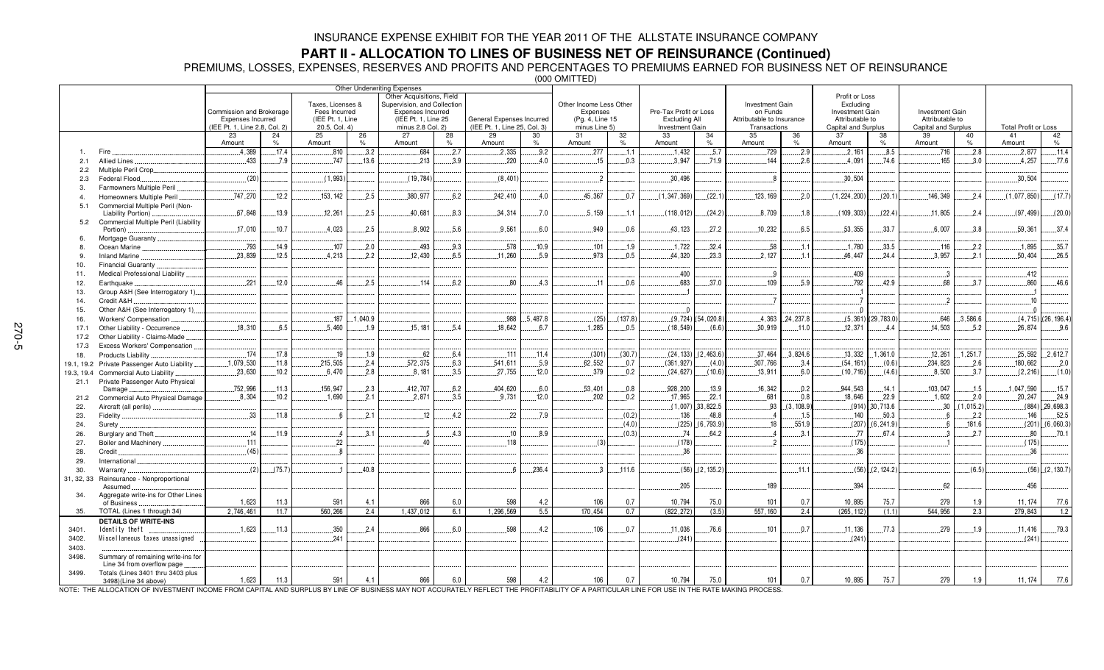## **PART II - ALLOCATION TO LINES OF BUSINESS NET OF REINSURANCE (Continued)**

PREMIUMS, LOSSES, EXPENSES, RESERVES AND PROFITS AND PERCENTAGES TO PREMIUMS EARNED FOR BUSINESS NET OF REINSURANCE

(000 OMITTED)

|                  |                                                                  |                               |            | Other Underwriting Expenses |            |                                                          |                     |                              |            |                          |            |                        |                       |                           |                     |                             |                        |                          |            |                             |                        |
|------------------|------------------------------------------------------------------|-------------------------------|------------|-----------------------------|------------|----------------------------------------------------------|---------------------|------------------------------|------------|--------------------------|------------|------------------------|-----------------------|---------------------------|---------------------|-----------------------------|------------------------|--------------------------|------------|-----------------------------|------------------------|
|                  |                                                                  |                               |            | Taxes, Licenses &           |            | Other Acquisitions, Field<br>Supervision, and Collection |                     |                              |            | Other Income Less Other  |            |                        |                       | Investment Gain           |                     | Profit or Loss<br>Excluding |                        |                          |            |                             |                        |
|                  |                                                                  | Commission and Brokerage      |            | Fees Incurred               |            | Expenses Incurred                                        |                     |                              |            | Expenses                 |            | Pre-Tax Profit or Loss |                       | on Funds                  |                     | <b>Investment Gain</b>      |                        | Investment Gain          |            |                             |                        |
|                  |                                                                  | Expenses Incurred             |            | (IEE Pt. 1, Line            |            | (IEE Pt. 1, Line 25)                                     |                     | General Expenses Incurred    |            | (Pg. 4, Line 15          |            | Excluding All          |                       | Attributable to Insurance |                     | Attributable to             |                        | Attributable to          |            |                             |                        |
|                  |                                                                  | (IEE Pt. 1. Line 2.8. Col. 2) |            | 20.5, Col. 4)               |            | minus 2.8 Col. 2)                                        |                     | (IEE Pt. 1. Line 25, Col. 3) |            | minus Line 5)            |            | <b>Investment Gain</b> |                       | Transactions              |                     | Capital and Surplus         |                        | Capital and Surplus      |            | <b>Total Profit or Loss</b> |                        |
|                  |                                                                  | 23<br>Amount                  | 24<br>$\%$ | 25<br>Amount                | 26<br>$\%$ | 27<br>Amount                                             | 28<br>$\frac{9}{6}$ | 29<br>Amount                 | 30<br>$\%$ | 31<br>Amount             | 32<br>$\%$ | 33<br>Amount           | 34<br>$\%$            | 35<br>Amount              | 36<br>$\frac{1}{2}$ | 37<br>Amount                | 38<br>$\%$             | 39<br>Amount             | 40<br>$\%$ | 41<br>Amount                | 42<br>$\%$             |
|                  | Fire                                                             | 4,389                         | .17.4      | .810                        | 3.2        | .684                                                     | 2.7                 | 2,335                        | 9.2        | 277                      | .1.1       | .1,432                 | 5.7                   | 729                       | 2.9                 | 2,161                       | 8.5                    | 716                      | 2.8        | 2,877                       | .11.4                  |
| 2.1              | Allied Lines                                                     | .433                          | .7.9       | .747                        | 13.6       | .213                                                     | 3.9                 | .220                         | 4.0        | $.15 -$                  | 0.3        | .3.947                 | .71.9                 | 144                       | .2.6                | .4.091                      | 74.6                   | 165                      | 3.0        | 4.257                       | .77.6                  |
| 2.2              | Multiple Peril Crop                                              |                               |            |                             |            |                                                          |                     |                              |            |                          |            |                        |                       |                           |                     |                             |                        |                          |            |                             |                        |
| 2.3              | Federal Flood                                                    | (20)                          |            | (1.993)                     |            | (19, 784)                                                |                     | (8, 401)                     |            | $\overline{\phantom{a}}$ |            | .30,496                |                       |                           |                     | .30,504                     |                        |                          |            | .30,504                     |                        |
| 3.               | Farmowners Multiple Peril                                        |                               |            |                             |            |                                                          |                     |                              |            |                          |            |                        |                       |                           |                     |                             |                        |                          |            |                             |                        |
| $\overline{4}$ . | Homeowners Multiple Peril                                        | .747,270                      | .12.2      | 153, 142                    | 2.5        | .380,977                                                 | 6.2                 | .242,410                     | 4.0        | .45,367                  | 0.7        | (1, 347, 369)          | (22.1)                | .123, 169                 | 2.0                 | (1, 224, 200)               | (20.1)                 | 146.349                  | .2.4       | (1,077,850)                 | (17.7)                 |
| 5.1              | Commercial Multiple Peril (Non-                                  |                               |            |                             |            |                                                          |                     |                              |            |                          |            |                        |                       |                           |                     |                             |                        |                          |            |                             |                        |
|                  | Liability Portion).                                              | .67.848                       | .13.9      | .12.261                     | 2.5        | 40,681                                                   | 8.3                 | .34.314                      | .7.0       | .5.159                   | .1.1       | (118, 012)             | (24.2)                | .8,709                    | 1.8                 | (109, 303)                  | (22.4)                 | .11,805                  | .2.4       | (97, 499)                   | (20.0)                 |
| 5.2              | Commercial Multiple Peril (Liability                             | .17,010                       | .10.7      |                             | 2.5        |                                                          | .5.6                | .9,561                       |            | 949                      | 0.6        | .43, 123               | .27.2                 |                           | 6.5                 |                             | .33.7                  | .6,007                   | 3.8        |                             |                        |
| 6.               | Portion)<br>Mortgage Guaranty                                    |                               |            | .4,023                      |            | .8,902                                                   |                     |                              | .6.0       |                          |            |                        |                       | .10,232                   |                     | .53,355                     |                        |                          |            | 59,361                      | .37.4                  |
| 8.               | Ocean Marine                                                     | 793                           | .14.9      | .107                        | 2.0        | .493                                                     | 9.3                 | .578                         | 10.9       | .101                     | .1.9       | .1,722                 | 32.4                  | .58                       | 1.1                 | .1,780                      | 33.5                   | .116                     | 2.2        | .1,895                      | 35.7                   |
| 9.               | <b>Inland Marine</b>                                             | 23.839                        | .12.5      | 4,213                       | 2.2        | .12.430                                                  | 6.5                 | .11.260                      | 5.9        | 973                      | 0.5        | .44,320                | 23.3                  | .2.127                    | 1.1                 | .46.447                     | 24.4                   | .3,957                   | .2.1       | 50.404                      | .26.5                  |
| 10.              | Financial Guaranty.                                              |                               |            |                             |            |                                                          |                     |                              |            |                          |            |                        |                       |                           |                     |                             |                        |                          |            |                             |                        |
| 11.              | Medical Professional Liability.                                  |                               |            |                             |            |                                                          |                     |                              |            |                          |            | 400                    |                       | . 9                       |                     | .409                        |                        | . 3                      |            | .412                        |                        |
| 12.              | Earthquake                                                       | 221                           | 12.0       | 46                          | 2.5        | 114                                                      | 6.2                 | 80                           | 4.3        | 11                       | 0.6        | 683                    | 37.0                  | 109                       | 5.9                 | 792                         | 42.9                   | 68                       | 3.7        | 860                         | 46.6                   |
| 13.              | Group A&H (See Interrogatory 1)                                  |                               |            |                             |            |                                                          |                     |                              |            |                          |            |                        |                       |                           |                     |                             |                        |                          |            |                             |                        |
| 14.              | Credit A&H                                                       |                               |            |                             |            |                                                          |                     |                              |            |                          |            |                        |                       | $\overline{7}$            |                     |                             |                        | $\overline{\phantom{a}}$ |            | .10                         |                        |
| 15.              | Other A&H (See Interrogatory 1)                                  |                               |            |                             |            |                                                          |                     |                              |            |                          |            |                        |                       |                           |                     |                             |                        |                          |            |                             |                        |
| 16.              | Workers' Compensation                                            |                               |            | .187                        | .1,040.9   |                                                          |                     | .988                         | .5.487.8   | (25)                     | (137.8)    |                        | $(9, 724)$ (54,020.8) | 4,363                     | .24, 237.8          |                             | $(5,361)$ $(29,783.0)$ | .646                     | .3.586.6   |                             | $(4, 715)$ (26, 196.4) |
| 17.1             | Other Liability - Occurrence                                     | .18.310                       | 6.5        | 5.460                       | 1.9        | 15.181                                                   | 5.4                 | 18.642                       | 6.7        | 1.285                    | 0.5        | (18.549)               | (6.6)                 | 30.919                    | 11.0                | 12.371                      | 4.4                    | 14.503                   | 5.2        | 26.874                      | 9.6                    |
| 17.2             | Other Liability - Claims-Made                                    |                               |            |                             |            |                                                          |                     |                              |            |                          |            |                        |                       |                           |                     |                             |                        |                          |            |                             |                        |
| 17.3             | Excess Workers' Compensation                                     |                               |            |                             |            |                                                          |                     |                              |            |                          |            |                        |                       |                           |                     |                             |                        |                          |            |                             |                        |
| 18.              | Products Liability.                                              | .174                          | .17.8      | .19                         | .1.9       | 62                                                       | 6.4                 | .111                         | .11.4      | (301)                    | (30.7)     | (24, 133)              | (2, 463.6)            | .37,464                   | .3,824.6            | .13,332                     | 1.361.0                | .12,261                  | 1,251.7    | 25,592                      | .2,612.7               |
| 19.1, 19.2       | Private Passenger Auto Liability.                                | .1,079,530                    | .11.8      | 215.505                     | 2.4        | .572,375                                                 | 6.3                 | 541.611                      | .5.9       | 62,552                   | 0.7        | (361, 927)             | (4.0)                 | .307,766                  | 3.4                 | (54, 161)                   | (0.6)                  | .234,823                 | .2.6       | 180,662                     | 2.0                    |
| 19.3, 19.4       | Commercial Auto Liability                                        | .23,630                       | .10.2      | .6.470                      | 2.8        | .8.181                                                   | 3.5                 | .27,755                      | .12.0      | .379                     | .0.2       | (24, 627)              | (10.6)                | .13,911                   | 6.0                 | (10, 716)                   | (4.6)                  | .8,500                   | 3.7        | (2, 216)                    | (1.0)                  |
| 21.1             | Private Passenger Auto Physical<br>Damage.                       | 752,996                       | .11.3      | 156,947                     | 2.3        | 412,707                                                  | 6.2                 | 404,620                      | .6.0       | 53,401                   | 0.8        | .928,200               | 13.9                  | 16,342                    | 0.2                 | 944,543                     | .14.1                  | 103.047                  | 1.5        | .1,047,590                  | 15.7                   |
| 21.2             | Commercial Auto Physical Damage                                  | .8,304                        | .10.2      | .1,690                      | .2.1       | .2,871                                                   | 3.5                 | .9,731                       | .12.0      | .202                     | .0.2       | .17,965                | .22.1                 | .681                      | 0.8                 | .18,646                     | .22.9                  | .1,602                   | .2.0       | 20,247                      | .24.9                  |
| 22.              | Aircraft (all perils)                                            |                               |            |                             |            |                                                          |                     |                              |            |                          |            | (1.007)                | 33,822.5              | .93                       | (3, 108.9)          | (914)                       | 30.713.6               | 30                       | (1, 015.2) | (884)                       | .29,698.3              |
| 23.              | Fidelity.                                                        | .33                           | .11.8      | - 6                         | .2.1       | .12                                                      | 4.2                 | .22                          | .7.9       |                          | (0.2)      | 136                    | .48.8                 |                           | .1.5                | .140                        | .50.3                  | - 6                      | .2.2       | 146                         | .52.5                  |
| 24.              | Surety.                                                          |                               |            |                             |            |                                                          |                     |                              |            |                          | (4.0)      | (225)                  | (6, 793.9)            | 18                        | 551.9               | (207)                       | (6, 241.9)             |                          | .181.6     |                             | $(201)$ , $(6,060.3)$  |
| 26.              | Burglary and Theft.                                              | .14                           | .11.9      | $\overline{4}$              | 3.1        | -5                                                       | 4.3                 | .10                          | 8.9        |                          | (0.3)      | .74                    | .64.2                 |                           | 3.1                 | .77                         | 67.4                   |                          | .2.7       | 80                          | 70.1                   |
| 27.              | Boiler and Machinery                                             | .111                          |            | .22                         |            | 40                                                       |                     | 118                          |            | (3)                      |            | (178)                  |                       |                           |                     | (175)                       |                        |                          |            | (175)                       |                        |
| 28.              | Credit.                                                          | (45)                          |            | -8                          |            |                                                          |                     |                              |            |                          |            | 36                     |                       |                           |                     | 36                          |                        |                          |            | 36                          |                        |
| 29.              | International                                                    |                               |            |                             |            |                                                          |                     |                              |            |                          |            |                        |                       |                           |                     |                             |                        |                          |            |                             |                        |
| 30.              | Warranty                                                         | (2)                           | (75.7)     |                             | 40.8       |                                                          |                     | <b>6</b>                     | .236.4     | $\mathcal{S}$            | .111.6     |                        | $(56)$ $(2, 135.2)$   |                           | .11.1               | (56)                        | (2, 124.2)             |                          | (6.5)      |                             | $(56)$ $(2, 130.7)$    |
| 31, 32, 33       | Reinsurance - Nonproportional                                    |                               |            |                             |            |                                                          |                     |                              |            |                          |            |                        |                       |                           |                     |                             |                        |                          |            |                             |                        |
|                  | Assumed                                                          |                               |            |                             |            |                                                          |                     |                              |            |                          |            | .205                   |                       | 189                       |                     | 394                         |                        | 62                       |            | 456                         |                        |
| 34.              | Aggregate write-ins for Other Lines<br>of Business               | 1,623                         | 11.3       | 591                         | 4.1        | 866                                                      | 6.0                 | 598                          | 4.2        | 106                      | 0.7        | 10,794                 | 75.0                  | 101                       | 0.7                 | 10,895                      | 75.7                   | 279                      | 1.9        | 11, 174                     | 77.6                   |
| 35.              | TOTAL (Lines 1 through 34)                                       | 2.746.461                     | 11.7       | 560.266                     | 2.4        | 1.437.012                                                | 6.1                 | 1.296.569                    | 5.5        | 170.454                  | 0.7        | (822.272)              | (3.5)                 | 557, 160                  | 2.4                 | (265, 112)                  | (1.1)                  | 544.956                  | 2.3        | 279.843                     | 1.2                    |
|                  | <b>DETAILS OF WRITE-INS</b>                                      |                               |            |                             |            |                                                          |                     |                              |            |                          |            |                        |                       |                           |                     |                             |                        |                          |            |                             |                        |
| 3401.            | Identity theft                                                   | 1.623                         | .11.3      | .350                        | 2.4        | .866                                                     | 6.0                 | 598                          | 4.2        | 106                      | 0.7        | .11,036                | .76.6                 | .101                      | 0.7                 | .11.136                     | 77.3                   | .279                     | .1.9       | .11.416                     | .79.3                  |
| 3402.            | Miscellaneous taxes unassigned                                   |                               |            | 241                         |            |                                                          |                     |                              |            |                          |            | (241)                  |                       |                           |                     | (241)                       |                        |                          |            | (241)                       |                        |
| 3403.            |                                                                  |                               |            |                             |            |                                                          |                     |                              |            |                          |            |                        |                       |                           |                     |                             |                        |                          |            |                             |                        |
| 3498.            | Summary of remaining write-ins for<br>Line 34 from overflow page |                               |            |                             |            |                                                          |                     |                              |            |                          |            |                        |                       |                           |                     |                             |                        |                          |            |                             |                        |
| 3499.            | Totals (Lines 3401 thru 3403 plus<br>3498)(Line 34 above)        | 1.623                         | 11.3       | 591                         | 41         | 866                                                      | 60                  | 598                          | 4.2        | 106                      | 0.7        | 10.794                 | 75.0                  | 101                       | 0.7                 | 10.895                      | 75.7                   | 279                      | 1.9        | 11.174                      | 77.6                   |

NOTE: THE ALLOCATION OF INVESTMENT INCOME FROM CAPITAL AND SURPLUS BY LINE OF BUSINESS MAY NOT ACCURATELY REFLECT THE PROFITABILITY OF A PARTICULAR LINE FOR USE IN THE RATE MAKING PROCESS.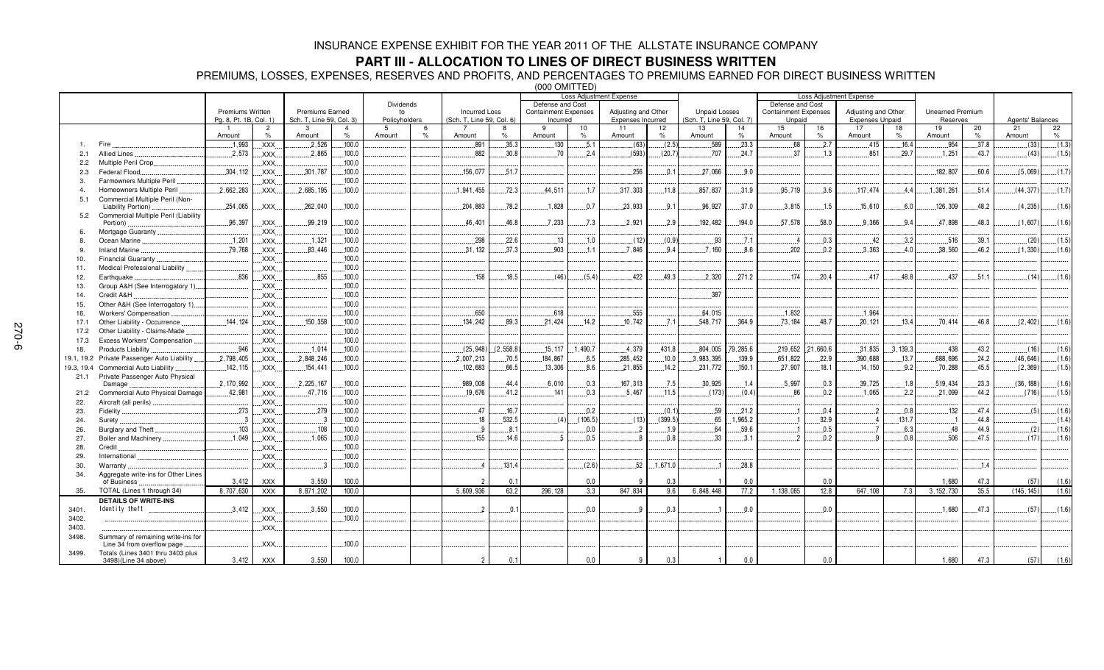### **PART III - ALLOCATION TO LINES OF DIRECT BUSINESS WRITTEN**

PREMIUMS, LOSSES, EXPENSES, RESERVES AND PROFITS, AND PERCENTAGES TO PREMIUMS EARNED FOR DIRECT BUSINESS WRITTEN

(000 OMITTED)

|                |                                                           |                         |                     |                                          |        |                                 |                     | <b>Loss Adjustment Expense</b> |            |                             |         | <b>Loss Adjustment Expense</b> |          |                           |            |                             |            |                              |            |                         |            |                        |         |
|----------------|-----------------------------------------------------------|-------------------------|---------------------|------------------------------------------|--------|---------------------------------|---------------------|--------------------------------|------------|-----------------------------|---------|--------------------------------|----------|---------------------------|------------|-----------------------------|------------|------------------------------|------------|-------------------------|------------|------------------------|---------|
|                |                                                           |                         |                     |                                          |        | Dividends                       |                     |                                |            | Defense and Cost            |         |                                |          |                           |            | Defense and Cost            |            |                              |            |                         |            |                        |         |
|                |                                                           | <b>Premiums Written</b> |                     | <b>Premiums Earned</b>                   |        | to                              |                     | <b>Incurred Loss</b>           |            | <b>Containment Expenses</b> |         | Adjusting and Other            |          | <b>Unpaid Losses</b>      |            | <b>Containment Expenses</b> |            | Adjusting and Other          |            | <b>Unearned Premium</b> |            |                        |         |
|                |                                                           | Pg. 8, Pt. 1B, Col. 1)  |                     | Sch. T, Line 59, Col. 3)<br>$\mathbf{3}$ |        | Policyholders<br>$\overline{5}$ |                     | (Sch. T, Line 59, Col. 6)      |            | Incurred<br>9               |         | Expenses Incurred              |          | (Sch. T. Line 59, Col. 7) |            | Unpaid<br>15                |            | <b>Expenses Unpaid</b><br>17 |            | Reserves<br>19          |            | Agents' Balances<br>21 |         |
|                |                                                           | Amount                  | $\overline{2}$<br>% | Amount                                   | $\%$   | Amount                          | -6<br>$\frac{9}{6}$ | Amount                         | 8<br>$\%$  | Amount                      | 10<br>% | 11<br>Amount                   | 12<br>%  | 13<br>Amount              | 14<br>$\%$ | Amount                      | 16<br>$\%$ | Amount                       | 18<br>$\%$ | Amount                  | 20<br>$\%$ | Amount                 | 22<br>% |
|                | Fire                                                      | .1,993                  | XXX.                | .2.526                                   | .100.0 |                                 |                     | 891                            | 35.3       | 130                         | .5.1    | (63)                           | (2.5)    | .589                      | .23.3      | 68                          | .2.7       | .415                         | .16.4      | 954                     | .37.8      | (33)                   | (1.3)   |
| 2.1            | <b>Allied Lines</b>                                       | 2,573                   | XXX.                | .2,865                                   | .100.0 |                                 |                     | 882                            | 30.8       | .70                         | .2.4    | (593)                          | (20.7)   | .707                      | .24.7      | 37                          | .1.3       | 851                          | 29.7       | .1.251                  | 43.7       | (43)                   | (1.5)   |
| 2.2            | Multiple Peril Crop                                       |                         | XXX.                |                                          | .100.0 |                                 |                     |                                |            |                             |         |                                |          |                           |            |                             |            |                              |            |                         |            |                        |         |
| 2.3            | Federal Flood                                             | .304, 112               | XXX.                | .301,787                                 | .100.0 |                                 |                     | 156,077                        | 51.7       |                             |         | .256                           | 0.1      | .27,066                   | 9.0        |                             |            |                              |            | .182, 807               | .60.6      | (5,069)                | (1.7)   |
| 3.             | Farmowners Multiple Peril                                 |                         | XXX.                |                                          | .100.0 |                                 |                     |                                |            |                             |         |                                |          |                           |            |                             |            |                              |            |                         |            |                        |         |
| $\overline{a}$ | Homeowners Multiple Peril                                 | .2,662,283              | XXX.                | .2,685,195                               | .100.0 |                                 |                     | 1,941,455                      | 72.3       | 44,511                      | 1.7     | .317,303                       | .11.8    | .857,837                  | .31.9      | .95,719                     | .3.6       | 117,474                      | .4.4       | 1,381,261               | .51.4      | (44, 377)              | (1.7)   |
| 5.1            | Commercial Multiple Peril (Non-                           |                         |                     |                                          |        |                                 |                     |                                |            |                             |         |                                |          |                           |            |                             |            |                              |            |                         |            |                        |         |
|                | Liability Portion)                                        | .254,065                | XXX.                | 262,040                                  | .100.0 |                                 |                     | 204,883                        | .78.2      | .1,828                      | 0.7     | 23,933                         | 9.1      | .96,927                   | .37.0      | .3,815                      | .1.5       | .15,610                      | 6.0        | .126, 309               | 48.2       | (4, 235)               | (1.6)   |
| 5.2            | Commercial Multiple Peril (Liability                      |                         |                     |                                          |        |                                 |                     |                                |            |                             |         |                                |          |                           |            |                             |            |                              |            |                         |            |                        |         |
|                | Portion)                                                  | .96,397                 | XXX.                | .99,219                                  | .100.0 |                                 |                     | .46,401                        | 46.8       | .7.233                      | .7.3    | .2.921                         | .2.9     | .192,482                  | .194.0     | .57.578                     | .58.0      | .9.366                       | .9.4       | .47,898                 | .48.3      | (1,607)                | (1.6)   |
| 6              | Mortgage Guaranty                                         |                         | XXX.                |                                          | .100.0 |                                 |                     |                                |            |                             |         |                                |          |                           |            |                             |            |                              |            |                         |            |                        |         |
| 8.             | Ocean Marine                                              | 1,201                   | XXX.                | 1,321                                    | .100.0 |                                 |                     | 298                            | 22.6       | .13                         | .1.0    | (12)                           | (0.9)    | .93                       | .7.1       |                             | .0.3       | .42                          | .3.2       | .516                    | .39.1      | (20)                   | (1.5)   |
| 9.             | <b>Inland Marine</b>                                      | .79,768                 | XXX.                | .83,446                                  | .100.0 |                                 |                     | 31, 132                        | 37.3       | 903                         | 1.1     | .7.846                         | 9.4      | 7.160                     | 8.6        | .202                        | 0.2        | .3,363                       | 4.0        | 38,560                  | 46.2       | (1, 330)               | (1.6)   |
| 10.            | Financial Guaranty.                                       |                         | XXX.                |                                          | .100.0 |                                 |                     |                                |            |                             |         |                                |          |                           |            |                             |            |                              |            |                         |            |                        |         |
| 11.            | Medical Professional Liability.                           |                         | XXX.                |                                          | 100.0  |                                 |                     |                                |            |                             |         |                                |          |                           |            |                             |            |                              |            |                         |            |                        |         |
| 12.            | Earthquake                                                | 836                     | XXX.                | 855                                      | .100.0 |                                 |                     | 158                            | 18.5       | (46)                        | (5.4)   | 422                            | 49.3     | 2.320                     | 271.2      | 174                         | 20.4       | 417                          | 48.8       | 437                     | 51.1       | (14)                   | (1.6)   |
| 13.            | Group A&H (See Interrogatory 1)                           |                         | XXX.                |                                          | .100.0 |                                 |                     |                                |            |                             |         |                                |          |                           |            |                             |            |                              |            |                         |            |                        |         |
| 14.            | Credit A&H                                                |                         | XXX.                |                                          | .100.0 |                                 |                     |                                |            |                             |         |                                |          | .387                      |            |                             |            |                              |            |                         |            |                        |         |
| 15.            | Other A&H (See Interrogatory 1)                           |                         | XXX.                |                                          | .100.0 |                                 |                     |                                |            |                             |         |                                |          |                           |            |                             |            |                              |            |                         |            |                        |         |
| 16.            | Workers' Compensation                                     |                         | XXX.                |                                          | .100.0 |                                 |                     | .650                           |            | .618                        |         | .555                           |          | .64.015                   |            | .1,832                      |            | .1,964                       |            |                         |            |                        |         |
| 17.1           | Other Liability - Occurrence                              | .144.124                | XXX.                | .150.358                                 | .100.0 |                                 |                     | 134.242                        | 89.3       | 21.424                      | .14.2   | 10.742                         | 7.1      | 548.717                   | .364.9     | .73.184                     | .48.7      | .20.121                      | 13.4       | .70.414                 | .46.8      | (2, 402)               | (1.6)   |
| 17.2           | Other Liability - Claims-Made                             |                         | XXX.                |                                          | .100.0 |                                 |                     |                                |            |                             |         |                                |          |                           |            |                             |            |                              |            |                         |            |                        |         |
| 17.3           | Excess Workers' Compensation.                             |                         | XXX.                |                                          | .100.0 |                                 |                     |                                |            |                             |         |                                |          |                           |            |                             |            |                              |            |                         |            |                        |         |
| 18.            | Products Liability                                        | .946                    | XXX.                | 1,014                                    | .100.0 |                                 |                     | (25, 948)                      | (2, 558.8) | .15, 117                    | 1,490.7 | .4,379                         | 431.8    | .804,005                  | .79,285.6  | 219,652 21,660.6            |            | .31,835                      | .3.139.3   | .438                    | .43.2      | (16)                   | (1.6)   |
| 19.1, 19.2     | Private Passenger Auto Liability                          | 2,798,405               | XXX.                | 2.848.246                                | .100.0 |                                 |                     | 2,007,213                      | .70.5      | 184,867                     | .6.5    | 285,452                        | .10.0    | 3.983.395                 | .139.9     | .651,822                    | .22.9      | .390,688                     | .13.7      | .688,696                | 24.2       | (46, 646)              | (1.6)   |
| 19.3, 19.4     | <b>Commercial Auto Liability</b>                          | .142, 115               | XXX.                | .154.441                                 | .100.0 |                                 |                     | .102,683                       | .66.5      | .13,306                     | .8.6    | .21.855                        | .14.2    | .231,772                  | .150.1     | .27,907                     | .18.1      | .14.150                      | .9.2       | .70,288                 | .45.5      | (2,369)                | (1.5)   |
| 21.1           | Private Passenger Auto Physical                           |                         |                     |                                          |        |                                 |                     |                                |            |                             |         |                                |          |                           |            |                             |            |                              |            |                         |            |                        |         |
|                | Damage                                                    | .2.170.992              | XXX.                | .2,225,167                               | .100.0 |                                 |                     | .989,008                       | 44.4       | .6,010                      | .0.3    | 167,313                        | .7.5     | 30,925                    | .1.4       | .5.997                      | .0.3       | .39,725                      | .1.8       | 519,434                 | .23.3      | (36, 188)              | (1.6)   |
| 21.2           | Commercial Auto Physical Damage                           | .42,981                 | XXX.                | .47,716                                  | .100.0 |                                 |                     | .19.676                        | 41.2       | .141                        | .0.3    | .5.467                         | .11.5    | (173)                     | (0.4)      | .86                         | .0.2       | .1,065                       | .2.2       | .21,099                 | .44.2      | (716)                  | (1.5)   |
| 22.            | Aircraft (all perils)                                     |                         | XXX.                |                                          | .100.0 |                                 |                     |                                |            |                             |         |                                |          |                           |            |                             |            |                              |            |                         |            |                        |         |
| 23.            | Fidelity                                                  | .273                    | XXX.                | .279                                     | .100.0 |                                 |                     | 47                             | 16.7       |                             | 0.2     |                                | (0.1)    | .59                       | 21.2       |                             | 0.4        | $\overline{\phantom{a}}$     | 0.8        | 132                     | 47.4       | (5)                    | (1.6)   |
| 24.            | Surety                                                    | $\cdot$ 3               | XXX.                | . . 3                                    | 100.0  |                                 |                     | 18                             | 532.5      | (4)                         | (106.5) | (13)                           | (399.5)  | 65                        | 1.965.2    |                             | 32.9       |                              | 131.7      |                         | 44.8       |                        | (1.4)   |
| 26.            | Burglary and Theft.                                       | .103                    | XXX.                | 108                                      | .100.0 |                                 |                     | و.                             | .8.        |                             | .0.0    | $\overline{\phantom{0}}^2$     | .1.9     | 64                        | .59.6      |                             | .0.5       |                              | .6.3       | 48                      | 44.9       | (2)                    | (1.6)   |
| 27.            | Boiler and Machinery                                      | .1,049                  | XXX.                | .1,065                                   | .100.0 |                                 |                     | 155                            | 14.6       |                             | 0.5     | - 8                            | 0.8      | 33                        | .3.1       |                             | 0.2        | 9                            | 0.8        | 506                     | 47.5       | (17)                   | (1.6)   |
| 28.            | Credit                                                    |                         | XXX.                |                                          | 100.0  |                                 |                     |                                |            |                             |         |                                |          |                           |            |                             |            |                              |            |                         |            |                        |         |
| 29.            | International                                             |                         | XXX.                |                                          | .100.0 |                                 |                     |                                |            |                             |         |                                |          |                           |            |                             |            |                              |            |                         |            |                        |         |
| 30.            | Warranty                                                  |                         | <b>XXX</b>          |                                          | .100.0 |                                 |                     |                                | 131.4      |                             | (2.6)   | .52                            | .1,671.0 |                           | .28.8      |                             |            |                              |            |                         | 1.4        |                        |         |
| 34.            | Aggregate write-ins for Other Lines                       |                         |                     |                                          |        |                                 |                     |                                |            |                             |         |                                |          |                           |            |                             |            |                              |            |                         |            |                        |         |
|                | of Business                                               | 3,412                   | <b>XXX</b>          | 3,550                                    | 100.0  |                                 |                     | $\overline{2}$                 | 0.1        |                             | 0.0     | <b>Q</b>                       | 0.3      |                           | 0.0        |                             | 0.0        |                              |            | 1,680                   | 47.3       | (57)                   | (1.6)   |
| 35.            | TOTAL (Lines 1 through 34)                                | 8,707,630               | <b>XXX</b>          | 8,871,202                                | 100.0  |                                 |                     | 5.609.936                      | 63.2       | 296, 128                    | 3.3     | 847.834                        | 9.6      | 6,848,448                 | 77.2       | 1.138.085                   | 12.8       | 647.108                      | 7.3        | 3, 152, 730             | 35.5       | (145.145)              | (1.6)   |
|                | <b>DETAILS OF WRITE-INS</b>                               |                         |                     |                                          |        |                                 |                     |                                |            |                             |         |                                |          |                           |            |                             |            |                              |            |                         |            |                        |         |
| 3401.          | Identity theft                                            | 3,412                   | XXX                 | .3.550                                   | .100.0 |                                 |                     | $\overline{\phantom{0}}$       | .0.1       |                             | 0.0     | <b>Q</b>                       | 0.3      |                           | 0.0        |                             | .0.0       |                              |            | .1,680                  | .47.3      | (57)                   | (1.6)   |
| 3402           |                                                           |                         | XXX.                |                                          | .100.0 |                                 |                     |                                |            |                             |         |                                |          |                           |            |                             |            |                              |            |                         |            |                        |         |
| 3403.          |                                                           |                         | XXX.                |                                          |        |                                 |                     |                                |            |                             |         |                                |          |                           |            |                             |            |                              |            |                         |            |                        |         |
| 3498.          | Summary of remaining write-ins for                        |                         |                     |                                          |        |                                 |                     |                                |            |                             |         |                                |          |                           |            |                             |            |                              |            |                         |            |                        |         |
|                | Line 34 from overflow page                                |                         | <b>XXX</b>          |                                          | .100.0 |                                 |                     |                                |            |                             |         |                                |          |                           |            |                             |            |                              |            |                         |            |                        |         |
| 3499.          | Totals (Lines 3401 thru 3403 plus<br>3498)(Line 34 above) | 3,412                   | <b>XXX</b>          | 3,550                                    | 100.0  |                                 |                     | $\overline{2}$                 | 0.1        |                             | 0.0     | 9                              | 0.3      |                           | 0.0        |                             | 0.0        |                              |            | 1,680                   | 47.3       | (57)                   | (1.6)   |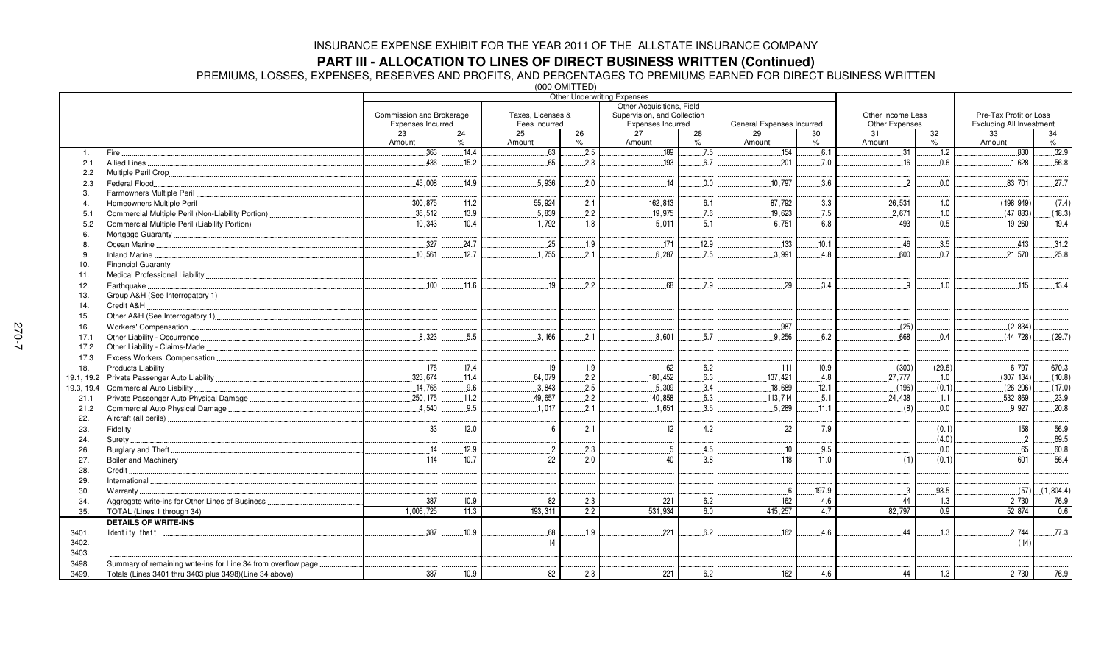### **PART III - ALLOCATION TO LINES OF DIRECT BUSINESS WRITTEN (Continued)**

PREMIUMS, LOSSES, EXPENSES, RESERVES AND PROFITS, AND PERCENTAGES TO PREMIUMS EARNED FOR DIRECT BUSINESS WRITTEN

(000 OMITTED)

|                |                                                               |                           |               |                   | $1000$ VIIII I LUI | <b>Other Underwriting Expenses</b> |       |                           |            |                   |            |                                 |                |
|----------------|---------------------------------------------------------------|---------------------------|---------------|-------------------|--------------------|------------------------------------|-------|---------------------------|------------|-------------------|------------|---------------------------------|----------------|
|                |                                                               | Other Acquisitions, Field |               |                   |                    |                                    |       |                           |            |                   |            |                                 |                |
|                |                                                               | Commission and Brokerage  |               | Taxes, Licenses & |                    | Supervision, and Collection        |       |                           |            | Other Income Less |            | Pre-Tax Profit or Loss          |                |
|                |                                                               | Expenses Incurred         |               | Fees Incurred     |                    | Expenses Incurred                  |       | General Expenses Incurred |            | Other Expenses    |            | <b>Excluding All Investment</b> |                |
|                |                                                               | 23                        | 24            | 25                | 26                 | 27                                 | 28    | 29                        | 30         | 31                | 32         | 33                              | 34             |
|                |                                                               | Amount                    | $\frac{9}{6}$ | Amount            | $\%$               | Amount                             | $\%$  | Amount                    | $\%$       | Amount            | $\%$       | Amount                          | $\%$           |
| $\mathbf{1}$ . | Fire.                                                         | 363<br>436                | .14.4<br>15.2 | 63<br>65          | .2.5<br>2.3        | 189<br>193                         | .7.5  | 154<br>.201               | 6.1<br>7.0 | .31<br>16         | 1.2<br>0.6 | .830<br>.1,628                  | .32.9<br>.56.8 |
| 2.1            | Allied Lines                                                  |                           |               |                   |                    |                                    | 6.7   |                           |            |                   |            |                                 |                |
| 2.2            |                                                               | .45,008                   | 14.9          | .5,936            | 2.0                | 14                                 | 0.0   | .10,797                   | 3.6        | $\overline{2}$    | 0.0        | 83.701                          | 27.7           |
| 2.3<br>3.      | Federal Flood<br>Farmowners Multiple Peril                    |                           |               |                   |                    |                                    |       |                           |            |                   |            |                                 |                |
|                | Homeowners Multiple Peril                                     | .300,875                  | .11.2         | 55,924            | 2.1                | 162.813                            | 6.1   | 87.792                    | 3.3        | 26.531            | 1.0        | (198.949)                       | (7.4)          |
| 5.1            |                                                               | .36,512                   | 13.9          | .5,839            | .2.2               | .19,975                            | .7.6  | .19,623                   | .7.5       | .2,671            | .1.0       | (47, 883)                       | (18.3)         |
| 5.2            | Commercial Multiple Peril (Liability Portion)                 | .10,343                   | .10.4         | .1,792            | .1.8               | .5,011                             | .5.1  | .6,751                    | 6.8        | .493              | .0.5       | .19,260                         | .19.4          |
| 6.             |                                                               |                           |               |                   |                    |                                    |       |                           |            |                   |            |                                 |                |
| 8              |                                                               | .327                      | .24.7         | .25               | .1.9               | .171                               | .12.9 | .133                      | .10.1      | .46               | .3.5       | .413                            | .31.2          |
| 9              |                                                               | 10.561                    | 12.7          | 1.755             | 2.1                | 6.287                              | 7.5   | .3.991                    | 4.8        | 600               | 0.7        | .21,570                         | .25.8          |
| 10.            |                                                               |                           |               |                   |                    |                                    |       |                           |            |                   |            |                                 |                |
| 11.            |                                                               |                           |               |                   |                    |                                    |       |                           |            |                   |            |                                 |                |
| 12.            | Earthquake.                                                   | .100                      | .11.6         | 19                | 2.2                | 68                                 | 7.9   | .29                       | 3.4        | 9                 | .1.0       | 115                             | .13.4          |
| 13.            |                                                               |                           |               |                   |                    |                                    |       |                           |            |                   |            |                                 |                |
| 14.            | Credit A&H                                                    |                           |               |                   |                    |                                    |       |                           |            |                   |            |                                 |                |
| 15.            |                                                               |                           |               |                   |                    |                                    |       |                           |            |                   |            |                                 |                |
| 16.            |                                                               |                           |               |                   |                    |                                    |       | .987                      |            | (25)              |            | (2,834)                         |                |
| 17.1           |                                                               | .8,323                    | .5.5          | .3,166            | .2.1               | .8,601                             | .5.7  | .9,256                    | .6.2       | .668              | 0.4        | (44, 728)                       | (29.7)         |
| 17.2           | Other Liability - Claims-Made                                 |                           |               |                   |                    |                                    |       |                           |            |                   |            |                                 |                |
| 17.3           |                                                               |                           |               |                   |                    |                                    |       |                           |            |                   |            |                                 |                |
| 18.            | Products Liability                                            | .176                      | .17.4         | 19                | .1.9               | 62                                 | 6.2   | $.111$                    | .10.9      | (300)             | (29.6)     | 6,797                           | .670.3         |
|                |                                                               | .323,674                  | .11.4         | .64,079           | .2.2               | .180,452                           | 6.3   | .137,421                  | 4.8        | 27.777            | .1.0       | (307, 134)                      | (10.8)         |
|                | 19.3, 19.4 Commercial Auto Liability                          | .14,765                   | .9.6          | 3.843             | .2.5               | .5,309                             | 3.4   | .18,689                   | .12.1      | (196)             | (0.1)      | (26, 206)                       | (17.0)         |
| 21.1           |                                                               | .250, 175                 | .11.2         | .49,657           | 2.2                | .140,858                           | 6.3   | .113,714                  | .5.1       | 24,438            | .1.1       | 532,869                         | 23.9           |
| 21.2           | Commercial Auto Physical Damage                               | .4,540                    | 9.5           | .1.017            | .2.1               | .1,651                             | 3.5   | .5,289                    | .11.1      | (8)               | 0.0        | .9.927                          | .20.8          |
| 22.            |                                                               |                           |               |                   |                    |                                    |       |                           |            |                   |            |                                 |                |
| 23.            |                                                               | 33                        | .12.0         | 6                 | .2.1               | .12                                | 4.2   | 22                        | .7.9       |                   | (0.1)      | .158                            | 56.9           |
| 24.            |                                                               |                           |               |                   |                    |                                    |       |                           |            |                   | (4.0)      |                                 | .69.5          |
| 26.            |                                                               | .14                       | .12.9         | $\overline{2}$    | .2.3               | .5                                 | 4.5   | 10                        | .9.5       |                   | 0.0        | 65                              | 60.8           |
| 27.            |                                                               | .114                      | .10.7         | 22                | .2.0               | 40                                 | 3.8   | .118                      | .11.0      | (1)               | (0.1)      | 601                             | .56.4          |
| 28.            | Credit.                                                       |                           |               |                   |                    |                                    |       |                           |            |                   |            |                                 |                |
| 29.            |                                                               |                           |               |                   |                    |                                    |       |                           |            |                   |            |                                 |                |
| 30.            | Warranty                                                      |                           |               |                   |                    |                                    |       | 6                         | .197.9     | $\cdot$ 3         | .93.5      | (57)                            | (1,804.4)      |
| 34.            |                                                               | 387                       | 10.9          | 82                | 2.3                | 221                                | 6.2   | 162                       | 4.6        | 44                | 1.3        | 2,730                           | 76.9           |
| 35.            | TOTAL (Lines 1 through 34)                                    | 1,006,725                 | 11.3          | 193,311           | $\overline{2.2}$   | 531,934                            | 6.0   | 415,257                   | 4.7        | 82,797            | 0.9        | 52,874                          | 0.6            |
|                | <b>DETAILS OF WRITE-INS</b>                                   |                           |               |                   |                    |                                    |       |                           |            |                   |            |                                 |                |
| 3401.          |                                                               | 387                       | .10.9         | .68               | .1.9               | .221                               | 6.2   | 162                       | .4.6       | 44                | .1.3       | 2,744                           | .77.3          |
| 3402.          |                                                               |                           |               | 14                |                    |                                    |       |                           |            |                   |            | (14)                            |                |
| 3403.          |                                                               |                           |               |                   |                    |                                    |       |                           |            |                   |            |                                 |                |
| 3498.          | Summary of remaining write-ins for Line 34 from overflow page |                           |               |                   |                    |                                    |       |                           |            |                   |            |                                 |                |
| 3499.          | Totals (Lines 3401 thru 3403 plus 3498)(Line 34 above)        | 387                       | 10.9          | 82                | 2.3                | 221                                | 6.2   | 162                       | 4.6        | 44                | 1.3        | 2.730                           | 76.9           |
|                |                                                               |                           |               |                   |                    |                                    |       |                           |            |                   |            |                                 |                |